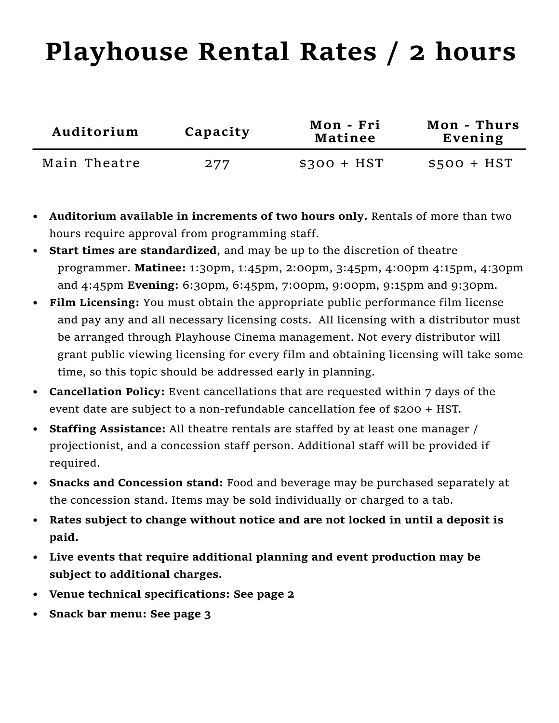## Playhouse Rental Rates / 2 hours

| Auditorium   | Capacity | Mon - Fri<br><b>Matinee</b> | Mon - Thurs<br>Evening |
|--------------|----------|-----------------------------|------------------------|
| Main Theatre | 277      | $$300 + HST$                | $$500 + HST$           |

- Auditorium available in increments of two hours only. Rentals of more than two hours require approval from programming staff.
- Start times are standardized, and may be up to the discretion of theatre programmer. Matinee: 1:30pm, 1:45pm, 2:00pm, 3:45pm, 4:00pm 4:15pm, 4:30pm and 4:45pm Evening: 6:30pm, 6:45pm, 7:00pm, 9:00pm, 9:15pm and 9:30pm.
- Film Licensing: You must obtain the appropriate public performance film license and pay any and all necessary licensing costs. All licensing with a distributor must be arranged through Playhouse Cinema management. Not every distributor will grant public viewing licensing for every flm and obtaining licensing will take some time, so this topic should be addressed early in planning.
- Cancellation Policy: Event cancellations that are requested within 7 days of the event date are subject to a non-refundable cancellation fee of \$200 + HST.
- Staffing Assistance: All theatre rentals are staffed by at least one manager / projectionist, and a concession staff person. Additional staff will be provided if required.
- **Snacks and Concession stand:** Food and beverage may be purchased separately at the concession stand. Items may be sold individually or charged to a tab.
- Rates subject to change without notice and are not locked in until a deposit is paid.
- Live events that require additional planning and event production may be subject to additional charges.
- Venue technical specifications: See page 2
- Snack bar menu: See page 3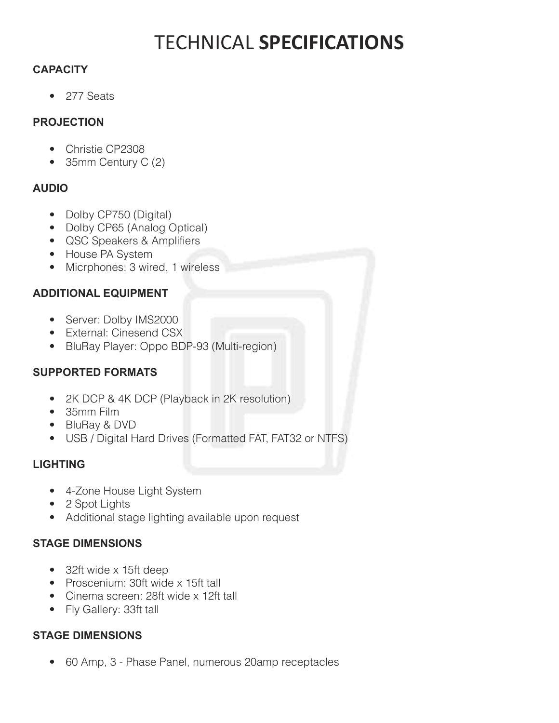### **TECHNICAL SPECIFICATIONS**

### **CAPACITY**

• 277 Seats

#### **PROJECTION**

- Christie CP2308
- $\bullet$  35mm Century C (2)

### **AUDIO**

- Dolby CP750 (Digital)
- Dolby CP65 (Analog Optical)
- QSC Speakers & Amplifiers
- House PA System
- Micrphones: 3 wired, 1 wireless  $\bullet$

### **ADDITIONAL EQUIPMENT**

- Server: Dolby IMS2000
- External: Cinesend CSX
- BluRay Player: Oppo BDP-93 (Multi-region)

### **SUPPORTED FORMATS**

- 2K DCP & 4K DCP (Playback in 2K resolution)
- 35mm Film
- BluRay & DVD
- USB / Digital Hard Drives (Formatted FAT, FAT32 or NTFS)

### **LIGHTING**

- 4-Zone House Light System  $\bullet$
- 2 Spot Lights
- Additional stage lighting available upon request

#### **STAGE DIMENSIONS**

- 32ft wide x 15ft deep
- Proscenium: 30ft wide x 15ft tall
- Cinema screen: 28ft wide x 12ft tall
- Fly Gallery: 33ft tall

#### **STAGE DIMENSIONS**

 $\bullet$ 60 Amp, 3 - Phase Panel, numerous 20amp receptacles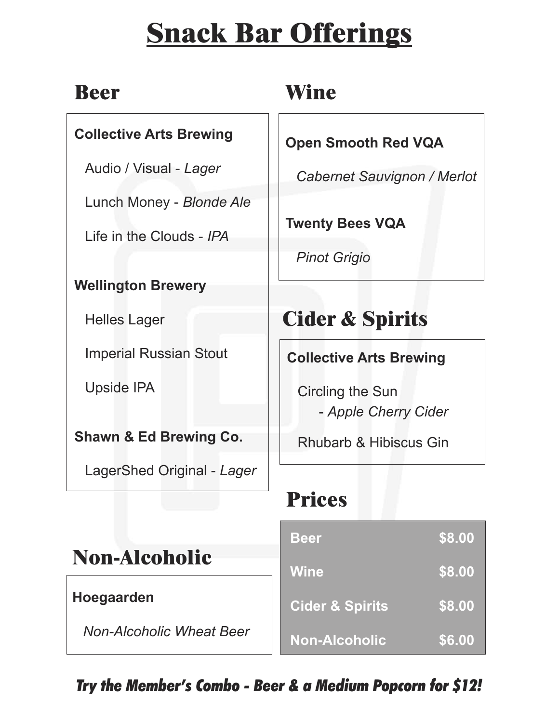## **Snack Bar Offerings**

| $\blacksquare$<br>m<br>L |
|--------------------------|
|--------------------------|

### **Collective Arts Brewing**

Audio / Visual - *Lager*

Lunch Money - *Blonde Ale*

Life in the Clouds - *IPA*

### **Wellington Brewery**

Helles Lager

Imperial Russian Stout

Upside IPA

**Shawn & Ed Brewing Co.**

LagerShed Original - *Lager*

## **Wine**

**Open Smooth Red VQA**

*Cabernet Sauvignon / Merlot*

**Twenty Bees VQA**

*Pinot Grigio*

## **Cider & Spirits**

**Collective Arts Brewing**

Circling the Sun - *Apple Cherry Cider*

Rhubarb & Hibiscus Gin

## **Prices**

|                                 | <b>Beer</b>                | <b>S8.00</b> |
|---------------------------------|----------------------------|--------------|
| <b>Non-Alcoholic</b>            | <b>Wine</b>                | \$8.00       |
| Hoegaarden                      | <b>Cider &amp; Spirits</b> | \$8.00       |
| <b>Non-Alcoholic Wheat Beer</b> | <b>Non-Alcoholic</b>       | \$6.00       |

*Try the Member's Combo - Beer & a Medium Popcorn for \$12!*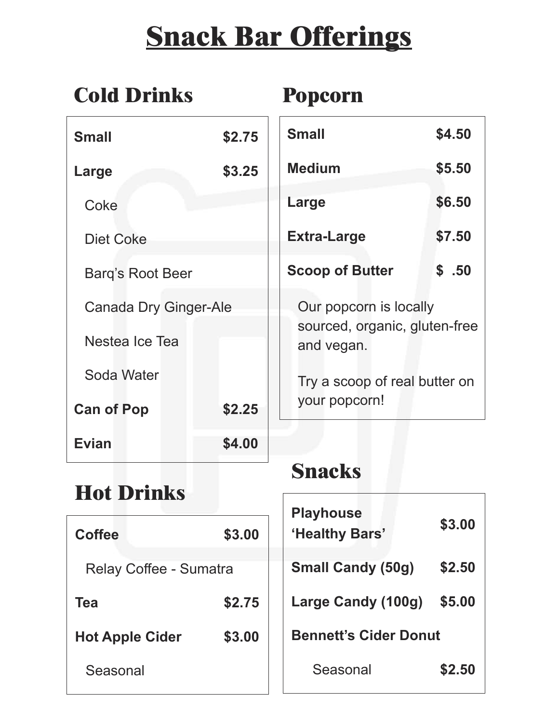## **Snack Bar Offerings**

| <b>Cold Drinks</b>           |        | <b>Popcorn</b>                              |        |
|------------------------------|--------|---------------------------------------------|--------|
| <b>Small</b>                 | \$2.75 | <b>Small</b>                                | \$4.50 |
| Large                        | \$3.25 | <b>Medium</b>                               | \$5.50 |
| Coke                         |        | Large                                       | \$6.50 |
| <b>Diet Coke</b>             |        | <b>Extra-Large</b>                          | \$7.50 |
| <b>Barg's Root Beer</b>      |        | <b>Scoop of Butter</b>                      | \$.50  |
| <b>Canada Dry Ginger-Ale</b> |        | Our popcorn is locally                      |        |
| Nestea Ice Tea               |        | sourced, organic, gluten-free<br>and vegan. |        |
| Soda Water                   |        | Try a scoop of real butter on               |        |
| <b>Can of Pop</b>            | \$2.25 | your popcorn!                               |        |
| <b>Evian</b>                 | \$4.00 |                                             |        |

## **Hot Drinks**

| <b>Coffee</b>                 | \$3.00 | <b>Playhouse</b><br>'Healthy Bars' | \$3.00 |
|-------------------------------|--------|------------------------------------|--------|
| <b>Relay Coffee - Sumatra</b> |        | <b>Small Candy (50g)</b>           | \$2.50 |
| Tea                           | \$2.75 | Large Candy (100g)                 | \$5.00 |
| <b>Hot Apple Cider</b>        | \$3.00 | <b>Bennett's Cider Donut</b>       |        |
| Seasonal                      |        | Seasonal                           | \$2.50 |

**Snacks**